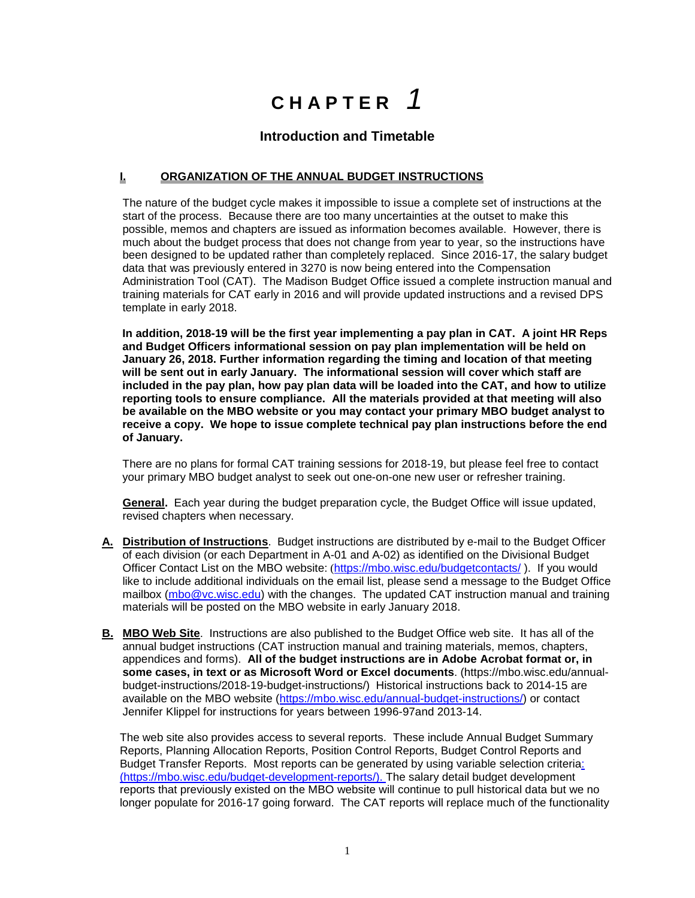# **C H A P T E R** *1*

## **Introduction and Timetable**

#### **I. ORGANIZATION OF THE ANNUAL BUDGET INSTRUCTIONS**

The nature of the budget cycle makes it impossible to issue a complete set of instructions at the start of the process. Because there are too many uncertainties at the outset to make this possible, memos and chapters are issued as information becomes available. However, there is much about the budget process that does not change from year to year, so the instructions have been designed to be updated rather than completely replaced. Since 2016-17, the salary budget data that was previously entered in 3270 is now being entered into the Compensation Administration Tool (CAT). The Madison Budget Office issued a complete instruction manual and training materials for CAT early in 2016 and will provide updated instructions and a revised DPS template in early 2018.

**In addition, 2018-19 will be the first year implementing a pay plan in CAT. A joint HR Reps and Budget Officers informational session on pay plan implementation will be held on January 26, 2018. Further information regarding the timing and location of that meeting will be sent out in early January. The informational session will cover which staff are included in the pay plan, how pay plan data will be loaded into the CAT, and how to utilize reporting tools to ensure compliance. All the materials provided at that meeting will also be available on the MBO website or you may contact your primary MBO budget analyst to receive a copy. We hope to issue complete technical pay plan instructions before the end of January.**

There are no plans for formal CAT training sessions for 2018-19, but please feel free to contact your primary MBO budget analyst to seek out one-on-one new user or refresher training.

**General.** Each year during the budget preparation cycle, the Budget Office will issue updated, revised chapters when necessary.

- **A. Distribution of Instructions**. Budget instructions are distributed by e-mail to the Budget Officer of each division (or each Department in A-01 and A-02) as identified on the Divisional Budget Officer Contact List on the MBO website: (<https://mbo.wisc.edu/budgetcontacts/>). If you would like to include additional individuals on the email list, please send a message to the Budget Office mailbox [\(mbo@vc.wisc.edu\)](mailto:mbo@vc.wisc.edu) with the changes. The updated CAT instruction manual and training materials will be posted on the MBO website in early January 2018.
- **B. MBO Web Site**. Instructions are also published to the Budget Office web site. It has all of the annual budget instructions (CAT instruction manual and training materials, memos, chapters, appendices and forms). **All of the budget instructions are in Adobe Acrobat format or, in some cases, in text or as Microsoft Word or Excel documents**. (https://mbo.wisc.edu/annualbudget-instructions/2018-19-budget-instructions/) Historical instructions back to 2014-15 are available on the MBO website [\(https://mbo.wisc.edu/annual-budget-instructions/\)](https://mbo.wisc.edu/annual-budget-instructions/) or contact Jennifer Klippel for instructions for years between 1996-97and 2013-14.

The web site also provides access to several reports. These include Annual Budget Summary Reports, Planning Allocation Reports, Position Control Reports, Budget Control Reports and Budget Transfer Reports. Most reports can be generated by using variable selection criteria: [\(https://mbo.wisc.edu/budget-development-reports/\)](https://mbo.wisc.edu/budget-development-reports/). The salary detail budget development reports that previously existed on the MBO website will continue to pull historical data but we no longer populate for 2016-17 going forward. The CAT reports will replace much of the functionality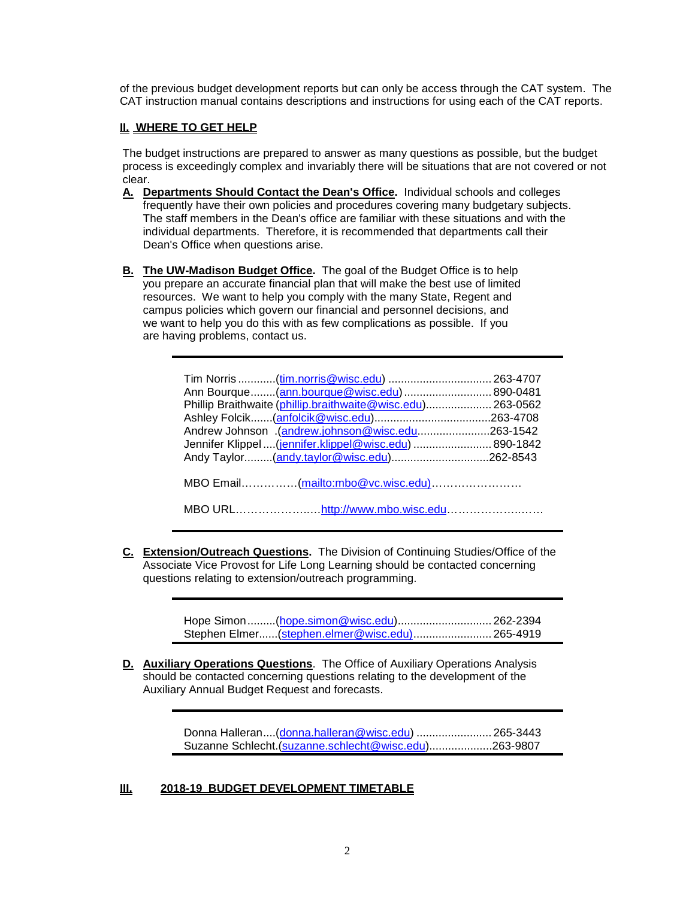of the previous budget development reports but can only be access through the CAT system. The CAT instruction manual contains descriptions and instructions for using each of the CAT reports.

#### **II. WHERE TO GET HELP**

The budget instructions are prepared to answer as many questions as possible, but the budget process is exceedingly complex and invariably there will be situations that are not covered or not clear.

- **A. Departments Should Contact the Dean's Office.** Individual schools and colleges frequently have their own policies and procedures covering many budgetary subjects. The staff members in the Dean's office are familiar with these situations and with the individual departments. Therefore, it is recommended that departments call their Dean's Office when questions arise.
- **B. The UW-Madison Budget Office.** The goal of the Budget Office is to help you prepare an accurate financial plan that will make the best use of limited resources. We want to help you comply with the many State, Regent and campus policies which govern our financial and personnel decisions, and we want to help you do this with as few complications as possible. If you are having problems, contact us.

| Phillip Braithwaite (phillip.braithwaite@wisc.edu) 263-0562<br>Andrew Johnson (andrew.johnson@wisc.edu263-1542<br>Jennifer Klippel  (jennifer.klippel@wisc.edu)  890-1842 |  |
|---------------------------------------------------------------------------------------------------------------------------------------------------------------------------|--|
|                                                                                                                                                                           |  |

**C. Extension/Outreach Questions.** The Division of Continuing Studies/Office of the Associate Vice Provost for Life Long Learning should be contacted concerning questions relating to extension/outreach programming.

| Stephen Elmer (stephen.elmer@wisc.edu) 265-4919 |  |
|-------------------------------------------------|--|

**D. Auxiliary Operations Questions**. The Office of Auxiliary Operations Analysis should be contacted concerning questions relating to the development of the Auxiliary Annual Budget Request and forecasts.

> Donna Halleran....[\(donna.halleran@wisc.edu\)](mailto:donna.halleran@wisc.edu) ........................ 265-3443 Suzanne Schlecht.[\(suzanne.schlecht@wisc.edu\)](mailto:suzanne.schlecht@wisc.edu)....................263-9807

### **III. 2018-19 BUDGET DEVELOPMENT TIMETABLE**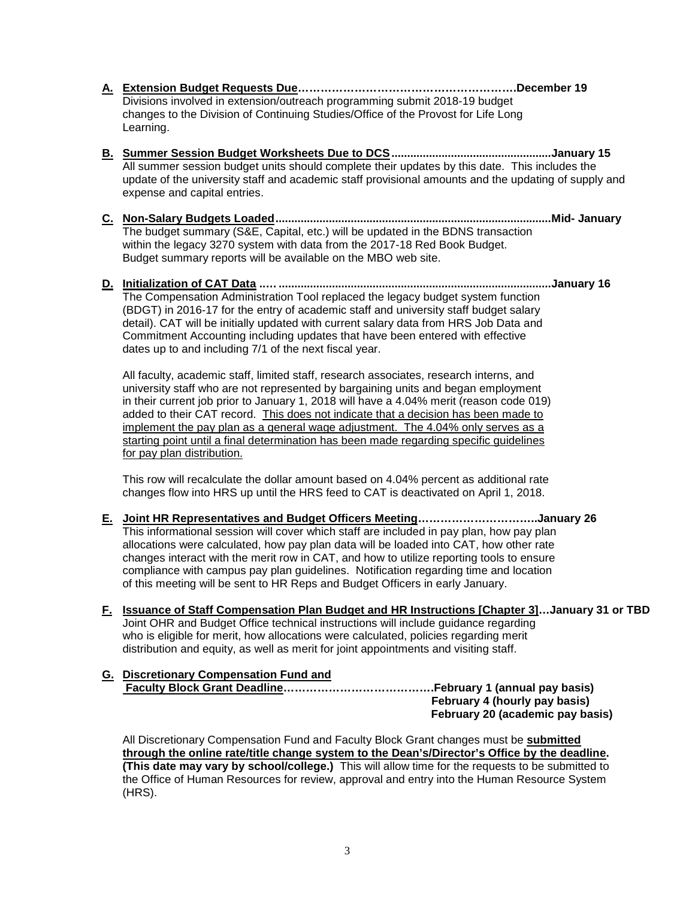- **A. Extension Budget Requests Due………………………………………………….December 19** Divisions involved in extension/outreach programming submit 2018-19 budget changes to the Division of Continuing Studies/Office of the Provost for Life Long Learning.
- **B. Summer Session Budget Worksheets Due to DCS...................................................January 15** All summer session budget units should complete their updates by this date. This includes the update of the university staff and academic staff provisional amounts and the updating of supply and expense and capital entries.
- **C. Non-Salary Budgets Loaded........................................................................................Mid- January** The budget summary (S&E, Capital, etc.) will be updated in the BDNS transaction within the legacy 3270 system with data from the 2017-18 Red Book Budget. Budget summary reports will be available on the MBO web site.
- **D. Initialization of CAT Data ..….......................................................................................January 16** The Compensation Administration Tool replaced the legacy budget system function (BDGT) in 2016-17 for the entry of academic staff and university staff budget salary detail). CAT will be initially updated with current salary data from HRS Job Data and Commitment Accounting including updates that have been entered with effective dates up to and including 7/1 of the next fiscal year.

All faculty, academic staff, limited staff, research associates, research interns, and university staff who are not represented by bargaining units and began employment in their current job prior to January 1, 2018 will have a 4.04% merit (reason code 019) added to their CAT record. This does not indicate that a decision has been made to implement the pay plan as a general wage adjustment. The 4.04% only serves as a starting point until a final determination has been made regarding specific guidelines for pay plan distribution.

This row will recalculate the dollar amount based on 4.04% percent as additional rate changes flow into HRS up until the HRS feed to CAT is deactivated on April 1, 2018.

- **E. Joint HR Representatives and Budget Officers Meeting…………………………..January 26** This informational session will cover which staff are included in pay plan, how pay plan allocations were calculated, how pay plan data will be loaded into CAT, how other rate changes interact with the merit row in CAT, and how to utilize reporting tools to ensure compliance with campus pay plan guidelines. Notification regarding time and location of this meeting will be sent to HR Reps and Budget Officers in early January.
- **F. Issuance of Staff Compensation Plan Budget and HR Instructions [Chapter 3]…January 31 or TBD** Joint OHR and Budget Office technical instructions will include guidance regarding who is eligible for merit, how allocations were calculated, policies regarding merit distribution and equity, as well as merit for joint appointments and visiting staff.
- **G. Discretionary Compensation Fund and Faculty Block Grant Deadline………………………………….February 1 (annual pay basis) February 4 (hourly pay basis) February 20 (academic pay basis)**

All Discretionary Compensation Fund and Faculty Block Grant changes must be **submitted through the online rate/title change system to the Dean's/Director's Office by the deadline. (This date may vary by school/college.)** This will allow time for the requests to be submitted to the Office of Human Resources for review, approval and entry into the Human Resource System (HRS).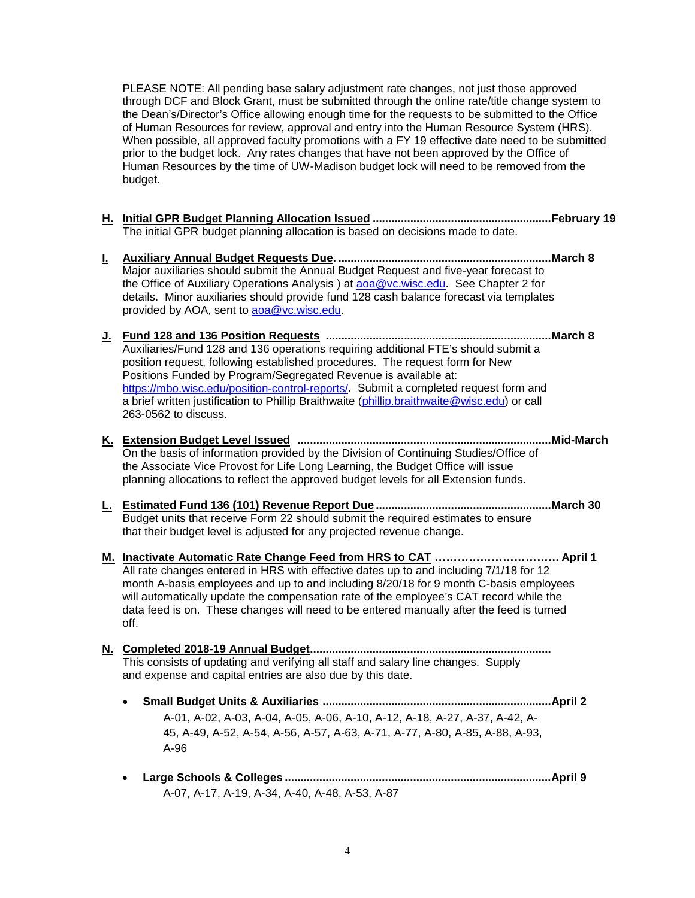PLEASE NOTE: All pending base salary adjustment rate changes, not just those approved through DCF and Block Grant, must be submitted through the online rate/title change system to the Dean's/Director's Office allowing enough time for the requests to be submitted to the Office of Human Resources for review, approval and entry into the Human Resource System (HRS). When possible, all approved faculty promotions with a FY 19 effective date need to be submitted prior to the budget lock. Any rates changes that have not been approved by the Office of Human Resources by the time of UW-Madison budget lock will need to be removed from the budget.

- **H. Initial GPR Budget Planning Allocation Issued .........................................................February 19** The initial GPR budget planning allocation is based on decisions made to date.
- **I. Auxiliary Annual Budget Requests Due. ....................................................................March 8** Major auxiliaries should submit the Annual Budget Request and five-year forecast to the Office of Auxiliary Operations Analysis ) at [aoa@vc.wisc.edu.](mailto:aoa@vc.wisc.edu) See Chapter 2 for details. Minor auxiliaries should provide fund 128 cash balance forecast via templates provided by AOA, sent to [aoa@vc.wisc.edu.](mailto:aoa@vc.wisc.edu)
- **J. Fund 128 and 136 Position Requests ........................................................................March 8** Auxiliaries/Fund 128 and 136 operations requiring additional FTE's should submit a position request, following established procedures. The request form for New Positions Funded by Program/Segregated Revenue is available at: [https://mbo.wisc.edu/position-control-reports/.](https://mbo.wisc.edu/position-control-reports/) Submit a completed request form and a brief written justification to Phillip Braithwaite [\(phillip.braithwaite@wisc.edu\)](file://aims.wisc.edu/VCFA/Share/BPA/Public/DRAFTS/phillip.braithwaite@wisc.edu) or call 263-0562 to discuss.
- **K. Extension Budget Level Issued .................................................................................Mid-March** On the basis of information provided by the Division of Continuing Studies/Office of the Associate Vice Provost for Life Long Learning, the Budget Office will issue planning allocations to reflect the approved budget levels for all Extension funds.
- **L. Estimated Fund 136 (101) Revenue Report Due ........................................................March 30** Budget units that receive Form 22 should submit the required estimates to ensure that their budget level is adjusted for any projected revenue change.
- **M. Inactivate Automatic Rate Change Feed from HRS to CAT …………………………… April 1** All rate changes entered in HRS with effective dates up to and including 7/1/18 for 12 month A-basis employees and up to and including 8/20/18 for 9 month C-basis employees will automatically update the compensation rate of the employee's CAT record while the data feed is on. These changes will need to be entered manually after the feed is turned off.
- **N. Completed 2018-19 Annual Budget.............................................................................** This consists of updating and verifying all staff and salary line changes. Supply and expense and capital entries are also due by this date.
	- **Small Budget Units & Auxiliaries .........................................................................April 2**  A-01, A-02, A-03, A-04, A-05, A-06, A-10, A-12, A-18, A-27, A-37, A-42, A-45, A-49, A-52, A-54, A-56, A-57, A-63, A-71, A-77, A-80, A-85, A-88, A-93, A-96
	- **Large Schools & Colleges .....................................................................................April 9** A-07, A-17, A-19, A-34, A-40, A-48, A-53, A-87